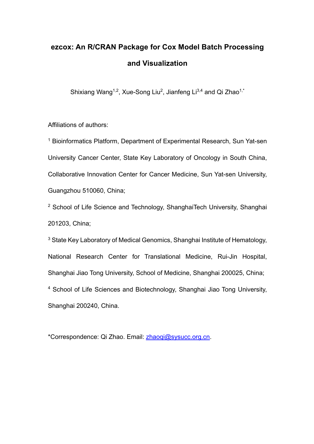# **ezcox: An R/CRAN Package for Cox Model Batch Processing and Visualization**

Shixiang Wang<sup>1,2</sup>, Xue-Song Liu<sup>2</sup>, Jianfeng Li<sup>3,4</sup> and Qi Zhao<sup>1,\*</sup>

Affiliations of authors:

<sup>1</sup> Bioinformatics Platform, Department of Experimental Research, Sun Yat-sen University Cancer Center, State Key Laboratory of Oncology in South China, Collaborative Innovation Center for Cancer Medicine, Sun Yat-sen University, Guangzhou 510060, China;

<sup>2</sup> School of Life Science and Technology, ShanghaiTech University, Shanghai 201203, China;

<sup>3</sup> State Key Laboratory of Medical Genomics, Shanghai Institute of Hematology, National Research Center for Translational Medicine, Rui-Jin Hospital, Shanghai Jiao Tong University, School of Medicine, Shanghai 200025, China; <sup>4</sup> School of Life Sciences and Biotechnology, Shanghai Jiao Tong University, Shanghai 200240, China.

\*Correspondence: Qi Zhao. Email: zhaoqi@sysucc.org.cn.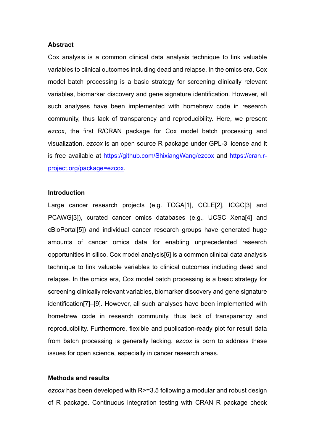## **Abstract**

Cox analysis is a common clinical data analysis technique to link valuable variables to clinical outcomes including dead and relapse. In the omics era, Cox model batch processing is a basic strategy for screening clinically relevant variables, biomarker discovery and gene signature identification. However, all such analyses have been implemented with homebrew code in research community, thus lack of transparency and reproducibility. Here, we present *ezcox*, the first R/CRAN package for Cox model batch processing and visualization. *ezcox* is an open source R package under GPL-3 license and it is free available at https://github.com/ShixiangWang/ezcox and https://cran.rproject.org/package=ezcox.

### **Introduction**

Large cancer research projects (e.g. TCGA[1], CCLE[2], ICGC[3] and PCAWG[3]), curated cancer omics databases (e.g., UCSC Xena[4] and cBioPortal[5]) and individual cancer research groups have generated huge amounts of cancer omics data for enabling unprecedented research opportunities in silico. Cox model analysis[6] is a common clinical data analysis technique to link valuable variables to clinical outcomes including dead and relapse. In the omics era, Cox model batch processing is a basic strategy for screening clinically relevant variables, biomarker discovery and gene signature identification[7]–[9]. However, all such analyses have been implemented with homebrew code in research community, thus lack of transparency and reproducibility. Furthermore, flexible and publication-ready plot for result data from batch processing is generally lacking. *ezcox* is born to address these issues for open science, especially in cancer research areas.

# **Methods and results**

*ezcox* has been developed with R>=3.5 following a modular and robust design of R package. Continuous integration testing with CRAN R package check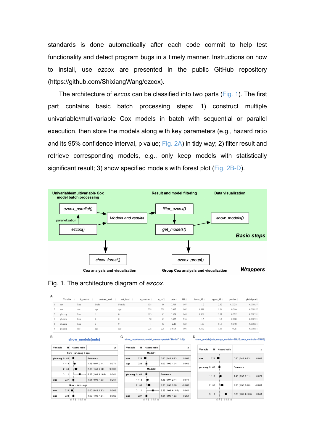standards is done automatically after each code commit to help test functionality and detect program bugs in a timely manner. Instructions on how to install, use *ezcox* are presented in the public GitHub repository (https://github.com/ShixiangWang/ezcox).

The architecture of *ezcox* can be classified into two parts (Fig. 1). The first part contains basic batch processing steps: 1) construct multiple univariable/multivariable Cox models in batch with sequential or parallel execution, then store the models along with key parameters (e.g., hazard ratio and its 95% confidence interval, p value; Fig. 2A) in tidy way; 2) filter result and retrieve corresponding models, e.g., only keep models with statistically significant result; 3) show specified models with forest plot (Fig. 2B-D).



### Fig. 1. The architecture diagram of *ezcox*.

| A |          |            |                                 |              |            |                |        |                 |                 |                 |                  |             |
|---|----------|------------|---------------------------------|--------------|------------|----------------|--------|-----------------|-----------------|-----------------|------------------|-------------|
|   | Variable | is control | contrast level<br>$\Rightarrow$ | ref level ≑  | n contrast | n ref $\doteq$ | beta ÷ | $HR \triangleq$ | lower $95 \div$ | upper $95 \div$ | $p.value \oplus$ | global.pval |
|   | sex      | false      | Male                            | Female       | 138        | 90             | 0.513  | 1.67            | 1.2             | 2.32            | 0.00218          | 0.000857    |
|   | sex      | true       | age                             | age          | 228        | 228            | 0.017  | 1.02            | 0.999           | 1.04            | 0.0646           | 0.000857    |
|   | ph.ecog  | false      |                                 | $\mathbf{0}$ | 113        | 63             | 0.359  | 1.43            | 0.969           | 2.11            | 0.0712           | 0.000551    |
|   | ph.ecog  | false      |                                 | $\theta$     | 50         | 63             | 0.857  | 2.36            | 1.5             | 3.7             | 0.0002           | 0.000551    |
|   | ph.ecog  | false      |                                 | $\mathbf{0}$ |            | 63             | 2.11   | 8.23            | 1.09            | 61.8            | 0.0406           | 0.000551    |
| 6 | ph.ecog  | true       | age                             | age          | 228        | 228            | 0.0108 | 1.01            | 0.992           | 1.03            | 0.251            | 0.000551    |

#### $\overline{B}$ show models(mds)

| Variable<br>И      |                           | <b>Hazard ratio</b>                              |                     | p       |  |  |  |  |  |
|--------------------|---------------------------|--------------------------------------------------|---------------------|---------|--|--|--|--|--|
|                    | $Surv \sim ph.ecog + age$ |                                                  |                     |         |  |  |  |  |  |
| ph.ecog 0          | 63                        |                                                  | Reference           |         |  |  |  |  |  |
|                    | 1 1 1 3                   |                                                  | 1.43 (0.97, 2.11)   | 0.071   |  |  |  |  |  |
|                    | 2 50                      | بی ہ                                             | 2.36 (1.50, 3.70)   | < 0.001 |  |  |  |  |  |
|                    | 3<br>1                    |                                                  | 8.23 (1.09, 61.85)  | 0.041   |  |  |  |  |  |
| age                | 227                       |                                                  | 1.01 (0.99, 1.03)   | 0.251   |  |  |  |  |  |
| $Surv$ ~ sex + age |                           |                                                  |                     |         |  |  |  |  |  |
| sex                | 228                       |                                                  | $0.60$ (0.43, 0.83) | 0.002   |  |  |  |  |  |
| age                | 228                       |                                                  | 1.02 (1.00, 1.04)   | 0.065   |  |  |  |  |  |
|                    |                           | $0 - 0$ $0 - 0.00$ $0.0$<br>$\sim$ $\sim$ $\sim$ |                     |         |  |  |  |  |  |

#### $\mathbf c$ ow\_models(mds, model\_names = paste0("Model", 1:2))

D

| p       |                    | <b>Hazard</b> ratio | N       | Variable     |  |  |  |  |
|---------|--------------------|---------------------|---------|--------------|--|--|--|--|
| Model 1 |                    |                     |         |              |  |  |  |  |
| 0.002   | 0.60(0.43, 0.83)   |                     | 228     | sex          |  |  |  |  |
| 0.065   | 1.02 (1.00, 1.04)  |                     | 228     | age          |  |  |  |  |
| Model 2 |                    |                     |         |              |  |  |  |  |
|         | Reference          |                     |         | ph.ecog 0 63 |  |  |  |  |
| 0.071   | 1.43 (0.97, 2.11)  |                     | 1 1 1 3 |              |  |  |  |  |
| < 0.001 | 2.36 (1.50, 3.70)  |                     | 2 50    |              |  |  |  |  |
| 0.041   | 8.23 (1.09, 61.85) |                     | 3<br>1  |              |  |  |  |  |
| 0.251   | 1.01 (0.99, 1.03)  |                     | 227     | age          |  |  |  |  |

#### N Hazard ratio Variable  $\mathsf{p}$  $228$  $0.60(0.43, 0.83)$  $0.002$ sex  $ph.ecog 0 63$ 1 1 1 3  $1.43(0.97, 2.11)$  $0.071$  $2 50$  $2.36(1.50, 3.70)$  $<0.001$  $3 - 1$ 8.23 (1.09, 61.85) 0.041

ds.merge\_models=TRUE.drop\_contr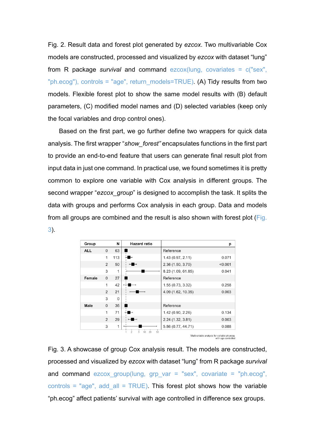Fig. 2. Result data and forest plot generated by *ezcox*. Two multivariable Cox models are constructed, processed and visualized by *ezcox* with dataset "lung" from R package *survival* and command ezcox(lung, covariates = c("sex", "ph.ecog"), controls = "age", return\_models=TRUE). (A) Tidy results from two models. Flexible forest plot to show the same model results with (B) default parameters, (C) modified model names and (D) selected variables (keep only the focal variables and drop control ones).

Based on the first part, we go further define two wrappers for quick data analysis. The first wrapper "*show\_forest"* encapsulates functions in the first part to provide an end-to-end feature that users can generate final result plot from input data in just one command. In practical use, we found sometimes it is pretty common to explore one variable with Cox analysis in different groups. The second wrapper "*ezcox\_group*" is designed to accomplish the task. It splits the data with groups and performs Cox analysis in each group. Data and models from all groups are combined and the result is also shown with forest plot (Fig. 3).

| Group      |                | N            | <b>Hazard ratio</b>                   |                    | р       |
|------------|----------------|--------------|---------------------------------------|--------------------|---------|
| <b>ALL</b> | $\Omega$       | 63           |                                       | Reference          |         |
|            | 1              | 113          |                                       | 1.43 (0.97, 2.11)  | 0.071   |
|            | 2              | 50           |                                       | 2.36 (1.50, 3.70)  | < 0.001 |
|            | 3              | 1            |                                       | 8.23 (1.09, 61.85) | 0.041   |
| Female     | $\Omega$       | 27           |                                       | Reference          |         |
|            | 1              | 42           |                                       | 1.55(0.73, 3.32)   | 0.258   |
|            | $\overline{2}$ | 21           |                                       | 4.09 (1.62, 10.35) | 0.003   |
|            | 3              | $\Omega$     |                                       |                    |         |
| Male       | $\Omega$       | 36           |                                       | Reference          |         |
|            | 1              | 71           |                                       | 1.42 (0.90, 2.26)  | 0.134   |
|            | $\overline{2}$ | 29           |                                       | 2.24 (1.32, 3.81)  | 0.003   |
|            | 3              | $\mathbf{1}$ |                                       | 5.86 (0.77, 44.71) | 0.088   |
|            |                |              | $\overline{2}$<br>5<br>20<br>50<br>10 |                    |         |

Multivariable analysis for variable ph.ecog<br>with age controlled

Fig. 3. A showcase of group Cox analysis result. The models are constructed, processed and visualized by *ezcox* with dataset "lung" from R package *survival* and command ezcox group(lung, grp var = "sex", covariate = "ph.ecog", controls = "age", add all =  $TRUE$ ). This forest plot shows how the variable "ph.ecog" affect patients' survival with age controlled in difference sex groups.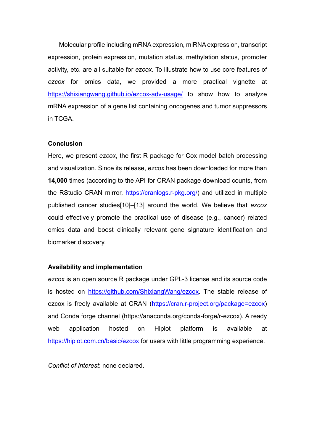Molecular profile including mRNA expression, miRNA expression, transcript expression, protein expression, mutation status, methylation status, promoter activity, etc. are all suitable for *ezcox*. To illustrate how to use core features of *ezcox* for omics data, we provided a more practical vignette at https://shixiangwang.github.io/ezcox-adv-usage/ to show how to analyze mRNA expression of a gene list containing oncogenes and tumor suppressors in TCGA.

# **Conclusion**

Here, we present *ezcox*, the first R package for Cox model batch processing and visualization. Since its release, *ezcox* has been downloaded for more than **14,000** times (according to the API for CRAN package download counts, from the RStudio CRAN mirror, https://cranlogs.r-pkg.org/) and utilized in multiple published cancer studies[10]–[13] around the world. We believe that *ezcox* could effectively promote the practical use of disease (e.g., cancer) related omics data and boost clinically relevant gene signature identification and biomarker discovery.

# **Availability and implementation**

*ezcox* is an open source R package under GPL-3 license and its source code is hosted on https://github.com/ShixiangWang/ezcox. The stable release of ezcox is freely available at CRAN (https://cran.r-project.org/package=ezcox) and Conda forge channel (https://anaconda.org/conda-forge/r-ezcox). A ready web application hosted on Hiplot platform is available at https://hiplot.com.cn/basic/ezcox for users with little programming experience.

*Conflict of Interest*: none declared.